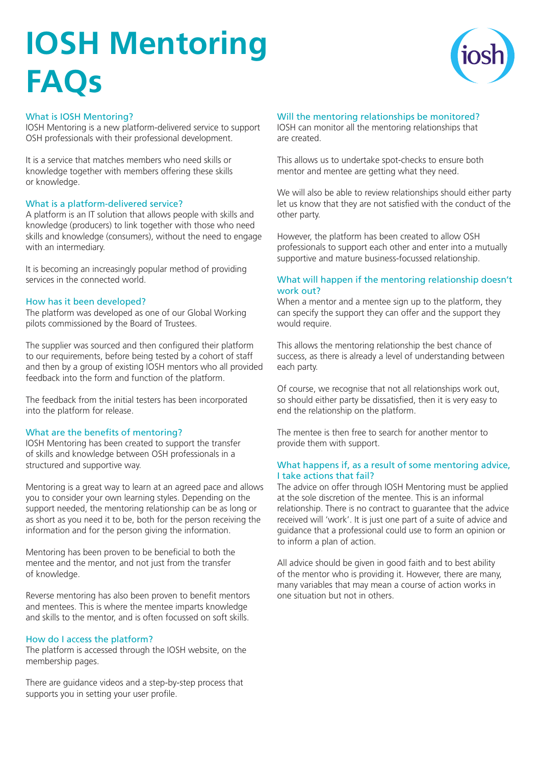# **IOSH Mentoring FAQs**



### What is IOSH Mentoring?

IOSH Mentoring is a new platform-delivered service to support OSH professionals with their professional development.

It is a service that matches members who need skills or knowledge together with members offering these skills or knowledge.

#### What is a platform-delivered service?

A platform is an IT solution that allows people with skills and knowledge (producers) to link together with those who need skills and knowledge (consumers), without the need to engage with an intermediary.

It is becoming an increasingly popular method of providing services in the connected world.

### How has it been developed?

The platform was developed as one of our Global Working pilots commissioned by the Board of Trustees.

The supplier was sourced and then configured their platform to our requirements, before being tested by a cohort of staff and then by a group of existing IOSH mentors who all provided feedback into the form and function of the platform.

The feedback from the initial testers has been incorporated into the platform for release.

### What are the benefits of mentoring?

IOSH Mentoring has been created to support the transfer of skills and knowledge between OSH professionals in a structured and supportive way.

Mentoring is a great way to learn at an agreed pace and allows you to consider your own learning styles. Depending on the support needed, the mentoring relationship can be as long or as short as you need it to be, both for the person receiving the information and for the person giving the information.

Mentoring has been proven to be beneficial to both the mentee and the mentor, and not just from the transfer of knowledge.

Reverse mentoring has also been proven to benefit mentors and mentees. This is where the mentee imparts knowledge and skills to the mentor, and is often focussed on soft skills.

#### How do I access the platform?

The platform is accessed through the IOSH website, on the membership pages.

There are guidance videos and a step-by-step process that supports you in setting your user profile.

# Will the mentoring relationships be monitored?

IOSH can monitor all the mentoring relationships that are created.

This allows us to undertake spot-checks to ensure both mentor and mentee are getting what they need.

We will also be able to review relationships should either party let us know that they are not satisfied with the conduct of the other party.

However, the platform has been created to allow OSH professionals to support each other and enter into a mutually supportive and mature business-focussed relationship.

## What will happen if the mentoring relationship doesn't work out?

When a mentor and a mentee sign up to the platform, they can specify the support they can offer and the support they would require.

This allows the mentoring relationship the best chance of success, as there is already a level of understanding between each party.

Of course, we recognise that not all relationships work out, so should either party be dissatisfied, then it is very easy to end the relationship on the platform.

The mentee is then free to search for another mentor to provide them with support.

#### What happens if, as a result of some mentoring advice, I take actions that fail?

The advice on offer through IOSH Mentoring must be applied at the sole discretion of the mentee. This is an informal relationship. There is no contract to guarantee that the advice received will 'work'. It is just one part of a suite of advice and guidance that a professional could use to form an opinion or to inform a plan of action.

All advice should be given in good faith and to best ability of the mentor who is providing it. However, there are many, many variables that may mean a course of action works in one situation but not in others.